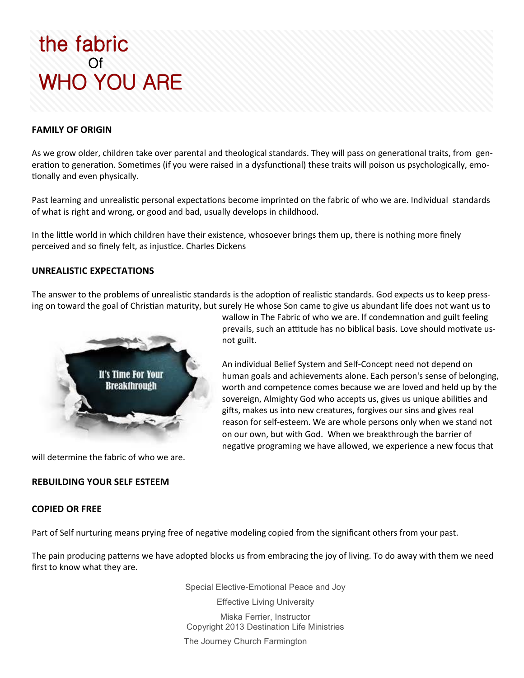# the fabric **Of** WHO YOU ARE

## **FAMILY OF ORIGIN**

As we grow older, children take over parental and theological standards. They will pass on generational traits, from generation to generation. Sometimes (if you were raised in a dysfunctional) these traits will poison us psychologically, emotionally and even physically.

Past learning and unrealistic personal expectations become imprinted on the fabric of who we are. Individual standards of what is right and wrong, or good and bad, usually develops in childhood.

In the little world in which children have their existence, whosoever brings them up, there is nothing more finely perceived and so finely felt, as injustice. Charles Dickens

not guilt.

### **UNREALISTIC EXPECTATIONS**

The answer to the problems of unrealistic standards is the adoption of realistic standards. God expects us to keep pressing on toward the goal of Christian maturity, but surely He whose Son came to give us abundant life does not want us to

> wallow in The Fabric of who we are. lf condemnation and guilt feeling prevails, such an attitude has no biblical basis. Love should motivate us-

An individual Belief System and Self-Concept need not depend on

human goals and achievements alone. Each person's sense of belonging, worth and competence comes because we are loved and held up by the sovereign, Almighty God who accepts us, gives us unique abilities and gifts, makes us into new creatures, forgives our sins and gives real reason for self-esteem. We are whole persons only when we stand not on our own, but with God. When we breakthrough the barrier of negative programing we have allowed, we experience a new focus that



will determine the fabric of who we are.

#### **REBUILDING YOUR SELF ESTEEM**

### **COPIED OR FREE**

Part of Self nurturing means prying free of negative modeling copied from the significant others from your past.

The pain producing patterns we have adopted blocks us from embracing the joy of living. To do away with them we need first to know what they are.

Special Elective-Emotional Peace and Joy

Effective Living University Miska Ferrier, Instructor Copyright 2013 Destination Life Ministries

The Journey Church Farmington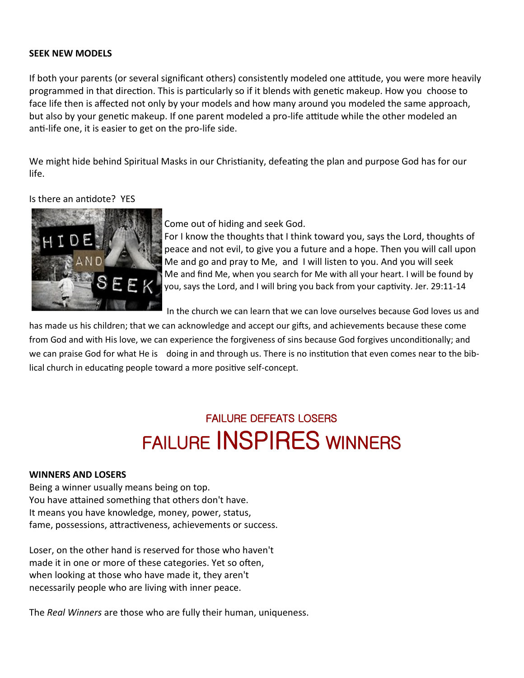### **SEEK NEW MODELS**

If both your parents (or several significant others) consistently modeled one attitude, you were more heavily programmed in that direction. This is particularly so if it blends with genetic makeup. How you choose to face life then is affected not only by your models and how many around you modeled the same approach, but also by your genetic makeup. If one parent modeled a pro-life attitude while the other modeled an anti-life one, it is easier to get on the pro-life side.

We might hide behind Spiritual Masks in our Christianity, defeating the plan and purpose God has for our life.

## Is there an antidote? YES



## Come out of hiding and seek God.

For I know the thoughts that I think toward you, says the Lord, thoughts of peace and not evil, to give you a future and a hope. Then you will call upon Me and go and pray to Me, and I will listen to you. And you will seek Me and find Me, when you search for Me with all your heart. I will be found by you, says the Lord, and I will bring you back from your captivity. Jer. 29:11-14

In the church we can learn that we can love ourselves because God loves us and

has made us his children; that we can acknowledge and accept our gifts, and achievements because these come from God and with His love, we can experience the forgiveness of sins because God forgives unconditionally; and we can praise God for what He is doing in and through us. There is no institution that even comes near to the biblical church in educating people toward a more positive self-concept.

# FAILURE DEFEATS LOSERS FAILURE INSPIRES WINNERS

### **WINNERS AND LOSERS**

Being a winner usually means being on top. You have attained something that others don't have. It means you have knowledge, money, power, status, fame, possessions, attractiveness, achievements or success.

Loser, on the other hand is reserved for those who haven't made it in one or more of these categories. Yet so often, when looking at those who have made it, they aren't necessarily people who are living with inner peace.

The *Real Winners* are those who are fully their human, uniqueness.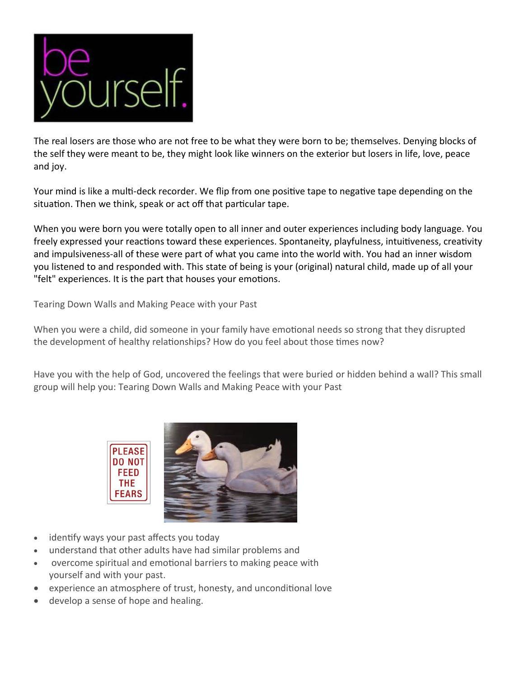

The real losers are those who are not free to be what they were born to be; themselves. Denying blocks of the self they were meant to be, they might look like winners on the exterior but losers in life, love, peace and joy.

Your mind is like a multi-deck recorder. We flip from one positive tape to negative tape depending on the situation. Then we think, speak or act off that particular tape.

When you were born you were totally open to all inner and outer experiences including body language. You freely expressed your reactions toward these experiences. Spontaneity, playfulness, intuitiveness, creativity and impulsiveness-all of these were part of what you came into the world with. You had an inner wisdom you listened to and responded with. This state of being is your (original) natural child, made up of all your "felt" experiences. It is the part that houses your emotions.

Tearing Down Walls and Making Peace with your Past

When you were a child, did someone in your family have emotional needs so strong that they disrupted the development of healthy relationships? How do you feel about those times now?

Have you with the help of God, uncovered the feelings that were buried or hidden behind a wall? This small group will help you: Tearing Down Walls and Making Peace with your Past



- identify ways your past affects you today
- understand that other adults have had similar problems and
- overcome spiritual and emotional barriers to making peace with yourself and with your past.
- experience an atmosphere of trust, honesty, and unconditional love
- develop a sense of hope and healing.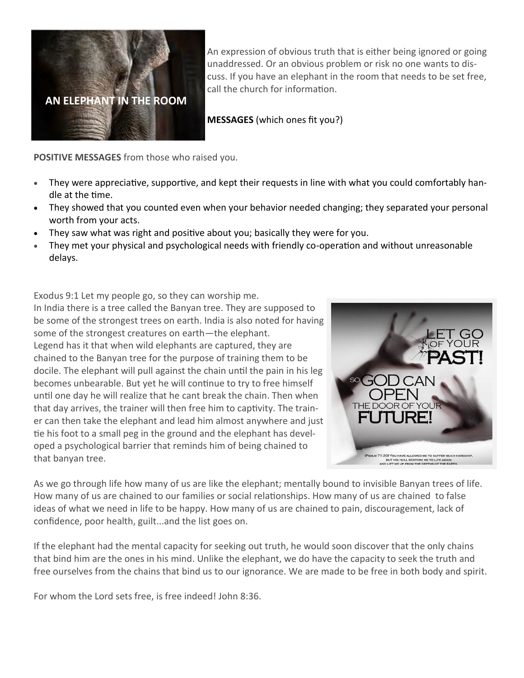

An expression of obvious truth that is either being ignored or going unaddressed. Or an obvious problem or risk no one wants to discuss. If you have an elephant in the room that needs to be set free, call the church for information.

**MESSAGES** (which ones fit you?)

**POSITIVE MESSAGES** from those who raised you.

- They were appreciative, supportive, and kept their requests in line with what you could comfortably handle at the time.
- They showed that you counted even when your behavior needed changing; they separated your personal worth from your acts.
- They saw what was right and positive about you; basically they were for you.
- They met your physical and psychological needs with friendly co-operation and without unreasonable delays.

Exodus 9:1 Let my people go, so they can worship me.

In India there is a tree called the Banyan tree. They are supposed to be some of the strongest trees on earth. India is also noted for having some of the strongest creatures on earth—the elephant. Legend has it that when wild elephants are captured, they are chained to the Banyan tree for the purpose of training them to be docile. The elephant will pull against the chain until the pain in his leg becomes unbearable. But yet he will continue to try to free himself until one day he will realize that he cant break the chain. Then when that day arrives, the trainer will then free him to captivity. The trainer can then take the elephant and lead him almost anywhere and just tie his foot to a small peg in the ground and the elephant has developed a psychological barrier that reminds him of being chained to that banyan tree.



As we go through life how many of us are like the elephant; mentally bound to invisible Banyan trees of life. How many of us are chained to our families or social relationships. How many of us are chained to false ideas of what we need in life to be happy. How many of us are chained to pain, discouragement, lack of confidence, poor health, guilt...and the list goes on.

If the elephant had the mental capacity for seeking out truth, he would soon discover that the only chains that bind him are the ones in his mind. Unlike the elephant, we do have the capacity to seek the truth and free ourselves from the chains that bind us to our ignorance. We are made to be free in both body and spirit.

For whom the Lord sets free, is free indeed! John 8:36.